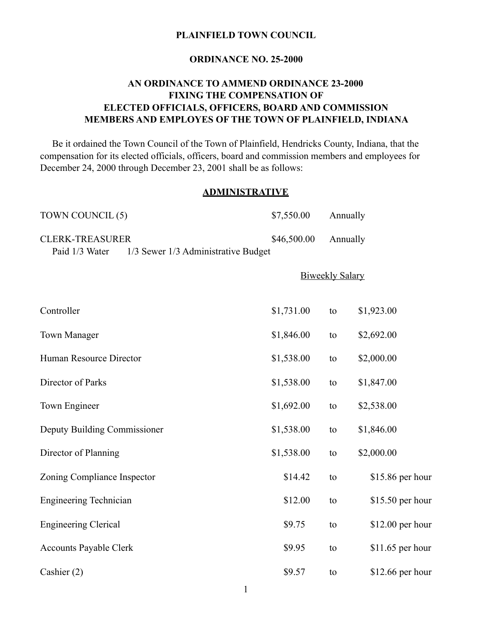#### **PLAINFIELD TOWN COUNCIL**

#### **ORDINANCE NO. 25-2000**

## **AN ORDINANCE TO AMMEND ORDINANCE 23-2000 FIXING THE COMPENSATION OF ELECTED OFFICIALS, OFFICERS, BOARD AND COMMISSION MEMBERS AND EMPLOYES OF THE TOWN OF PLAINFIELD, INDIANA**

Be it ordained the Town Council of the Town of Plainfield, Hendricks County, Indiana, that the compensation for its elected officials, officers, board and commission members and employees for December 24, 2000 through December 23, 2001 shall be as follows:

## **ADMINISTRATIVE**

| TOWN COUNCIL (5)                                                                | \$7,550.00  | Annually               |                   |
|---------------------------------------------------------------------------------|-------------|------------------------|-------------------|
| <b>CLERK-TREASURER</b><br>Paid 1/3 Water<br>1/3 Sewer 1/3 Administrative Budget | \$46,500.00 | Annually               |                   |
|                                                                                 |             | <b>Biweekly Salary</b> |                   |
| Controller                                                                      | \$1,731.00  | to                     | \$1,923.00        |
| <b>Town Manager</b>                                                             | \$1,846.00  | to                     | \$2,692.00        |
| Human Resource Director                                                         | \$1,538.00  | to                     | \$2,000.00        |
| Director of Parks                                                               | \$1,538.00  | to                     | \$1,847.00        |
| Town Engineer                                                                   | \$1,692.00  | to                     | \$2,538.00        |
| Deputy Building Commissioner                                                    | \$1,538.00  | to                     | \$1,846.00        |
| Director of Planning                                                            | \$1,538.00  | to                     | \$2,000.00        |
| Zoning Compliance Inspector                                                     | \$14.42     | to                     | \$15.86 per hour  |
| <b>Engineering Technician</b>                                                   | \$12.00     | to                     | $$15.50$ per hour |
| <b>Engineering Clerical</b>                                                     | \$9.75      | to                     | $$12.00$ per hour |
| <b>Accounts Payable Clerk</b>                                                   | \$9.95      | to                     | $$11.65$ per hour |
| Cashier (2)                                                                     | \$9.57      | to                     | $$12.66$ per hour |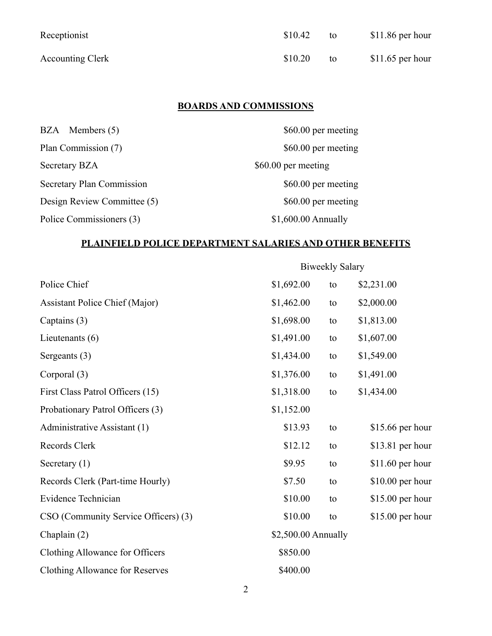| Receptionist            | \$10.42 | to | $$11.86$ per hour |
|-------------------------|---------|----|-------------------|
| <b>Accounting Clerk</b> | \$10.20 | to | $$11.65$ per hour |

# **BOARDS AND COMMISSIONS**

| BZA Members (5)             | \$60.00 per meeting  |
|-----------------------------|----------------------|
| Plan Commission (7)         | \$60.00 per meeting  |
| Secretary BZA               | \$60.00 per meeting  |
| Secretary Plan Commission   | \$60.00 per meeting  |
| Design Review Committee (5) | \$60.00 per meeting  |
| Police Commissioners (3)    | $$1,600.00$ Annually |

## **PLAINFIELD POLICE DEPARTMENT SALARIES AND OTHER BENEFITS**

|                                       | <b>Biweekly Salary</b> |    |                   |
|---------------------------------------|------------------------|----|-------------------|
| Police Chief                          | \$1,692.00             | to | \$2,231.00        |
| <b>Assistant Police Chief (Major)</b> | \$1,462.00             | to | \$2,000.00        |
| Captains (3)                          | \$1,698.00             | to | \$1,813.00        |
| Lieutenants $(6)$                     | \$1,491.00             | to | \$1,607.00        |
| Sergeants (3)                         | \$1,434.00             | to | \$1,549.00        |
| Corporal (3)                          | \$1,376.00             | to | \$1,491.00        |
| First Class Patrol Officers (15)      | \$1,318.00             | to | \$1,434.00        |
| Probationary Patrol Officers (3)      | \$1,152.00             |    |                   |
| Administrative Assistant (1)          | \$13.93                | to | $$15.66$ per hour |
| Records Clerk                         | \$12.12                | to | $$13.81$ per hour |
| Secretary $(1)$                       | \$9.95                 | to | \$11.60 per hour  |
| Records Clerk (Part-time Hourly)      | \$7.50                 | to | $$10.00$ per hour |
| Evidence Technician                   | \$10.00                | to | $$15.00$ per hour |
| CSO (Community Service Officers) (3)  | \$10.00                | to | $$15.00$ per hour |
| Chaplain $(2)$                        | \$2,500.00 Annually    |    |                   |
| Clothing Allowance for Officers       | \$850.00               |    |                   |
| Clothing Allowance for Reserves       | \$400.00               |    |                   |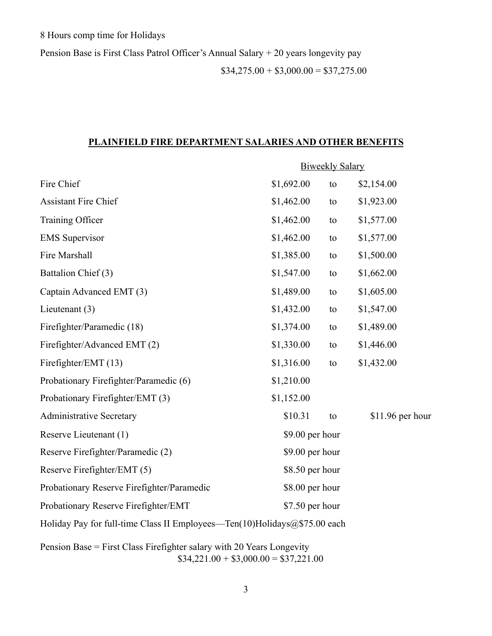Pension Base is First Class Patrol Officer's Annual Salary + 20 years longevity pay

 $$34,275.00 + $3,000.00 = $37,275.00$ 

#### **PLAINFIELD FIRE DEPARTMENT SALARIES AND OTHER BENEFITS**

|                                                                             | <b>Biweekly Salary</b> |                 |                   |  |
|-----------------------------------------------------------------------------|------------------------|-----------------|-------------------|--|
| Fire Chief                                                                  | \$1,692.00             | to              | \$2,154.00        |  |
| Assistant Fire Chief                                                        | \$1,462.00             | to              | \$1,923.00        |  |
| Training Officer                                                            | \$1,462.00             | to              | \$1,577.00        |  |
| <b>EMS</b> Supervisor                                                       | \$1,462.00             | to              | \$1,577.00        |  |
| Fire Marshall                                                               | \$1,385.00             | to              | \$1,500.00        |  |
| Battalion Chief (3)                                                         | \$1,547.00             | to              | \$1,662.00        |  |
| Captain Advanced EMT (3)                                                    | \$1,489.00             | to              | \$1,605.00        |  |
| Lieutenant $(3)$                                                            | \$1,432.00             | to              | \$1,547.00        |  |
| Firefighter/Paramedic (18)                                                  | \$1,374.00             | to              | \$1,489.00        |  |
| Firefighter/Advanced EMT (2)                                                | \$1,330.00             | to              | \$1,446.00        |  |
| Firefighter/EMT (13)                                                        | \$1,316.00             | to              | \$1,432.00        |  |
| Probationary Firefighter/Paramedic (6)                                      | \$1,210.00             |                 |                   |  |
| Probationary Firefighter/EMT (3)                                            | \$1,152.00             |                 |                   |  |
| <b>Administrative Secretary</b>                                             | \$10.31                | to              | $$11.96$ per hour |  |
| Reserve Lieutenant (1)                                                      |                        | \$9.00 per hour |                   |  |
| Reserve Firefighter/Paramedic (2)                                           |                        | \$9.00 per hour |                   |  |
| Reserve Firefighter/EMT (5)                                                 |                        | \$8.50 per hour |                   |  |
| Probationary Reserve Firefighter/Paramedic                                  | \$8.00 per hour        |                 |                   |  |
| Probationary Reserve Firefighter/EMT                                        | \$7.50 per hour        |                 |                   |  |
| Holiday Pay for full-time Class II Employees—Ten(10)Holidays $@$75.00$ each |                        |                 |                   |  |

Pension Base = First Class Firefighter salary with 20 Years Longevity  $$34,221.00 + $3,000.00 = $37,221.00$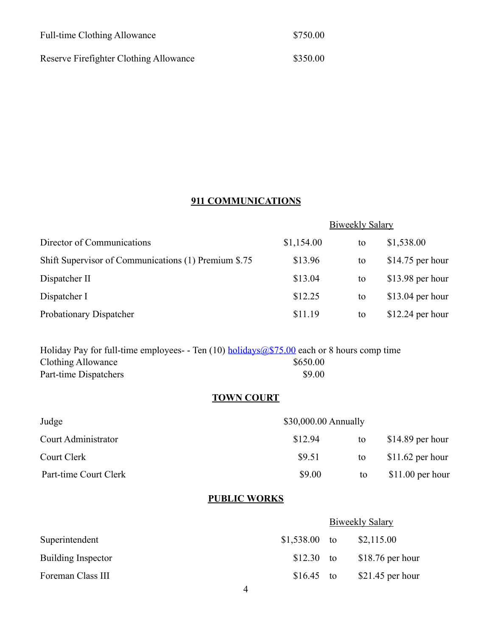| <b>Full-time Clothing Allowance</b>    | \$750.00 |
|----------------------------------------|----------|
| Reserve Firefighter Clothing Allowance | \$350.00 |

# **911 COMMUNICATIONS**

|                                                      | <b>Biweekly Salary</b> |    |                   |
|------------------------------------------------------|------------------------|----|-------------------|
| Director of Communications                           | \$1,154.00             | to | \$1,538.00        |
| Shift Supervisor of Communications (1) Premium \$.75 | \$13.96                | to | $$14.75$ per hour |
| Dispatcher II                                        | \$13.04                | to | $$13.98$ per hour |
| Dispatcher I                                         | \$12.25                | to | $$13.04$ per hour |
| Probationary Dispatcher                              | \$11.19                | to | $$12.24$ per hour |

Holiday Pay for full-time employees- - Ten (10) [holidays@\\$75.00](mailto:holidays@$75.00) each or 8 hours comp time Clothing Allowance \$650.00 Part-time Dispatchers \$9.00

## **TOWN COURT**

| Judge                 | \$30,000.00 Annually |    |                   |
|-----------------------|----------------------|----|-------------------|
| Court Administrator   | \$12.94              | to | $$14.89$ per hour |
| Court Clerk           | \$9.51               | to | $$11.62$ per hour |
| Part-time Court Clerk | \$9.00               | to | $$11.00$ per hour |

## **PUBLIC WORKS**

|                           |                | <b>Biweekly Salary</b> |                   |
|---------------------------|----------------|------------------------|-------------------|
| Superintendent            | $$1,538.00$ to |                        | \$2,115.00        |
| <b>Building Inspector</b> | $$12.30$ to    |                        | $$18.76$ per hour |
| Foreman Class III         | $$16.45$ to    |                        | $$21.45$ per hour |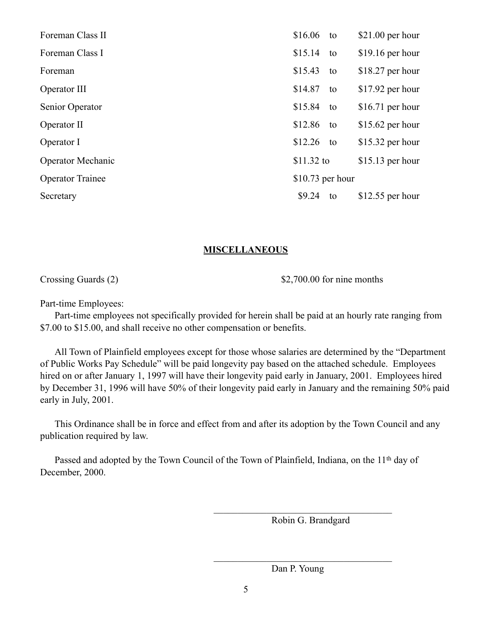| Foreman Class II         | \$16.06           | to | $$21.00$ per hour |
|--------------------------|-------------------|----|-------------------|
| Foreman Class I          | \$15.14           | to | $$19.16$ per hour |
| Foreman                  | \$15.43           | to | $$18.27$ per hour |
| Operator III             | \$14.87           | to | $$17.92$ per hour |
| Senior Operator          | \$15.84           | to | \$16.71 per hour  |
| Operator II              | \$12.86           | to | $$15.62$ per hour |
| Operator I               | \$12.26           | to | $$15.32$ per hour |
| <b>Operator Mechanic</b> | $$11.32$ to       |    | $$15.13$ per hour |
| <b>Operator Trainee</b>  | $$10.73$ per hour |    |                   |
| Secretary                | \$9.24            | to | \$12.55 per hour  |

#### **MISCELLANEOUS**

Crossing Guards (2) \$2,700.00 for nine months

Part-time Employees:

 Part-time employees not specifically provided for herein shall be paid at an hourly rate ranging from \$7.00 to \$15.00, and shall receive no other compensation or benefits.

 All Town of Plainfield employees except for those whose salaries are determined by the "Department of Public Works Pay Schedule" will be paid longevity pay based on the attached schedule. Employees hired on or after January 1, 1997 will have their longevity paid early in January, 2001. Employees hired by December 31, 1996 will have 50% of their longevity paid early in January and the remaining 50% paid early in July, 2001.

 This Ordinance shall be in force and effect from and after its adoption by the Town Council and any publication required by law.

Passed and adopted by the Town Council of the Town of Plainfield, Indiana, on the 11<sup>th</sup> day of December, 2000.

 $\mathcal{L}_\text{max}$  and  $\mathcal{L}_\text{max}$  and  $\mathcal{L}_\text{max}$  and  $\mathcal{L}_\text{max}$  and  $\mathcal{L}_\text{max}$ 

 $\mathcal{L}_\text{max}$  and  $\mathcal{L}_\text{max}$  and  $\mathcal{L}_\text{max}$  and  $\mathcal{L}_\text{max}$  and  $\mathcal{L}_\text{max}$ 

Robin G. Brandgard

Dan P. Young